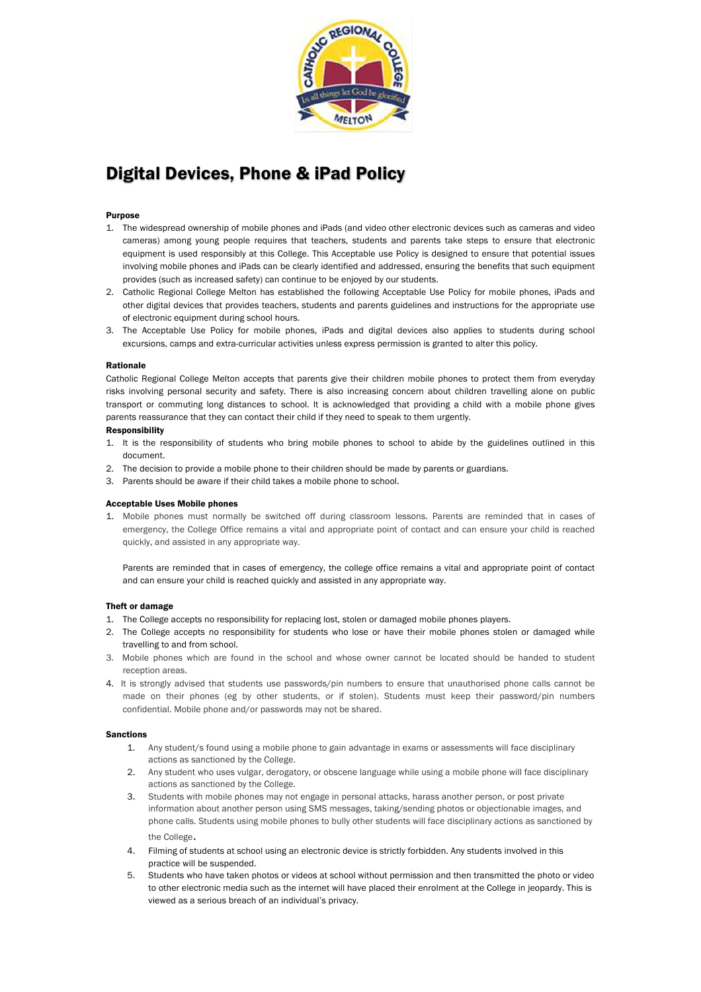

# Digital Devices, Phone & iPad Policy

## Purpose

- 1. The widespread ownership of mobile phones and iPads (and video other electronic devices such as cameras and video cameras) among young people requires that teachers, students and parents take steps to ensure that electronic equipment is used responsibly at this College. This Acceptable use Policy is designed to ensure that potential issues involving mobile phones and iPads can be clearly identified and addressed, ensuring the benefits that such equipment provides (such as increased safety) can continue to be enjoyed by our students.
- 2. Catholic Regional College Melton has established the following Acceptable Use Policy for mobile phones, iPads and other digital devices that provides teachers, students and parents guidelines and instructions for the appropriate use of electronic equipment during school hours.
- 3. The Acceptable Use Policy for mobile phones, iPads and digital devices also applies to students during school excursions, camps and extra-curricular activities unless express permission is granted to alter this policy.

### Rationale

Catholic Regional College Melton accepts that parents give their children mobile phones to protect them from everyday risks involving personal security and safety. There is also increasing concern about children travelling alone on public transport or commuting long distances to school. lt is acknowledged that providing a child with a mobile phone gives parents reassurance that they can contact their child if they need to speak to them urgently.

### **Responsibility**

- 1. It is the responsibility of students who bring mobile phones to school to abide by the guidelines outlined in this document.
- 2. The decision to provide a mobile phone to their children should be made by parents or guardians.
- 3. Parents should be aware if their child takes a mobile phone to school.

### Acceptable Uses Mobile phones

1. Mobile phones must normally be switched off during classroom lessons. Parents are reminded that in cases of emergency, the College Office remains a vital and appropriate point of contact and can ensure your child is reached quickly, and assisted in any appropriate way.

Parents are reminded that in cases of emergency, the college office remains a vital and appropriate point of contact and can ensure your child is reached quickly and assisted in any appropriate way.

### Theft or damage

- 1. The College accepts no responsibility for replacing lost, stolen or damaged mobile phones players.
- 2. The College accepts no responsibility for students who lose or have their mobile phones stolen or damaged while travelling to and from school.
- 3. Mobile phones which are found in the school and whose owner cannot be located should be handed to student reception areas.
- 4. It is strongly advised that students use passwords/pin numbers to ensure that unauthorised phone calls cannot be made on their phones (eg by other students, or if stolen). Students must keep their password/pin numbers confidential. Mobile phone and/or passwords may not be shared.

#### Sanctions

- 1. Any student/s found using a mobile phone to gain advantage in exams or assessments will face disciplinary actions as sanctioned by the College.
- 2. Any student who uses vulgar, derogatory, or obscene language while using a mobile phone will face disciplinary actions as sanctioned by the College.
- 3. Students with mobile phones may not engage in personal attacks, harass another person, or post private information about another person using SMS messages, taking/sending photos or objectionable images, and phone calls. Students using mobile phones to bully other students will face disciplinary actions as sanctioned by the College.
- 4. Filming of students at school using an electronic device is strictly forbidden. Any students involved in this practice will be suspended.
- 5. Students who have taken photos or videos at school without permission and then transmitted the photo or video to other electronic media such as the internet will have placed their enrolment at the College in jeopardy. This is viewed as a serious breach of an individual's privacy.